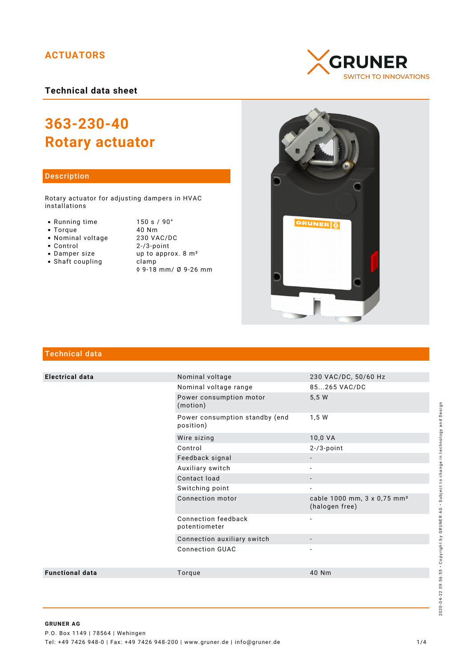# **ACTUATORS**

## **Technical data sheet**

# **363-230-40 Rotary actuator**

#### Description

Rotary actuator for adjusting dampers in HVAC installations

- Running time
- $\bullet$  Torque
- Nominal voltage
- Control
- Damper size
- $\bullet$  Shaft coupling

| 150 s / 90°                    |
|--------------------------------|
| 40 Nm                          |
| 230 VAC/DC                     |
| $2 - 73$ -point                |
| up to approx. 8 m <sup>2</sup> |
| clamp                          |
| ◊ 9-18 mm/ Ø 9-26 mm           |





# Technical data

| <b>Electrical data</b> | Nominal voltage                             | 230 VAC/DC, 50/60 Hz                                      |
|------------------------|---------------------------------------------|-----------------------------------------------------------|
|                        | Nominal voltage range                       | 85265 VAC/DC                                              |
|                        | Power consumption motor<br>(motion)         | 5,5 W                                                     |
|                        | Power consumption standby (end<br>position) | 1,5 W                                                     |
|                        | Wire sizing                                 | 10,0 VA                                                   |
|                        | Control                                     | $2-73$ -point                                             |
|                        | Feedback signal                             |                                                           |
|                        | Auxiliary switch                            |                                                           |
|                        | Contact load                                | $\overline{\phantom{0}}$                                  |
|                        | Switching point                             | $\overline{\phantom{a}}$                                  |
|                        | Connection motor                            | cable 1000 mm, 3 x 0,75 mm <sup>2</sup><br>(halogen free) |
|                        | Connection feedback<br>potentiometer        | $\overline{\phantom{a}}$                                  |
|                        | Connection auxiliary switch                 |                                                           |
|                        | <b>Connection GUAC</b>                      |                                                           |
| <b>Functional data</b> | Torque                                      | 40 Nm                                                     |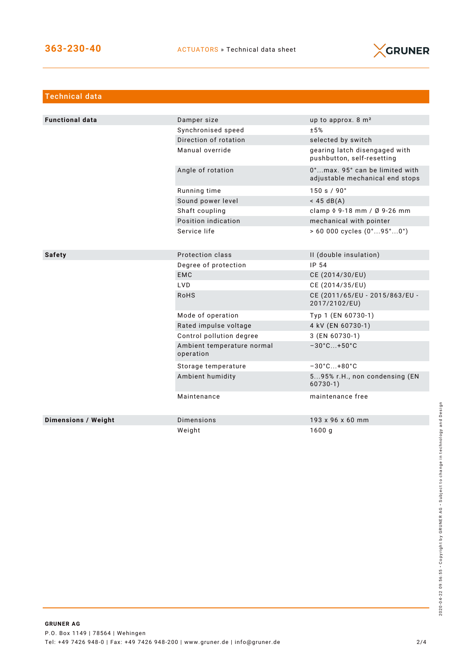

| <b>Technical data</b>  |                                         |                                                                   |
|------------------------|-----------------------------------------|-------------------------------------------------------------------|
|                        |                                         |                                                                   |
| <b>Functional data</b> | Damper size                             | up to approx. 8 m <sup>2</sup>                                    |
|                        | Synchronised speed                      | ±5%                                                               |
|                        | Direction of rotation                   | selected by switch                                                |
|                        | Manual override                         | gearing latch disengaged with<br>pushbutton, self-resetting       |
|                        | Angle of rotation                       | 0°max. 95° can be limited with<br>adjustable mechanical end stops |
|                        | Running time                            | 150 s / 90°                                                       |
|                        | Sound power level                       | $<$ 45 dB(A)                                                      |
|                        | Shaft coupling                          | clamp 0 9-18 mm / Ø 9-26 mm                                       |
|                        | Position indication                     | mechanical with pointer                                           |
|                        | Service life                            | $> 60000$ cycles $(0^{\circ}95^{\circ}0^{\circ})$                 |
|                        |                                         |                                                                   |
| <b>Safety</b>          | Protection class                        | II (double insulation)                                            |
|                        | Degree of protection                    | IP 54                                                             |
|                        | <b>EMC</b>                              | CE (2014/30/EU)                                                   |
|                        | <b>LVD</b>                              | CE (2014/35/EU)                                                   |
|                        | <b>RoHS</b>                             | CE (2011/65/EU - 2015/863/EU -<br>2017/2102/EU)                   |
|                        | Mode of operation                       | Typ 1 (EN 60730-1)                                                |
|                        | Rated impulse voltage                   | 4 kV (EN 60730-1)                                                 |
|                        | Control pollution degree                | 3 (EN 60730-1)                                                    |
|                        | Ambient temperature normal<br>operation | $-30^{\circ}$ C +50 $^{\circ}$ C                                  |
|                        | Storage temperature                     | $-30^{\circ}$ C +80 $^{\circ}$ C                                  |
|                        | Ambient humidity                        | 595% r.H., non condensing (EN<br>$60730-1)$                       |
|                        | Maintenance                             | maintenance free                                                  |
| Dimensions / Weight    | <b>Dimensions</b>                       | 193 x 96 x 60 mm                                                  |
|                        | Weight                                  | 1600g                                                             |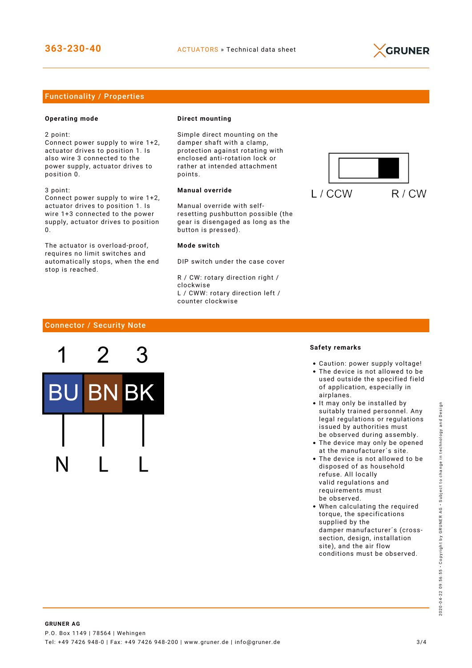

## Functionality / Properties

#### **Operating mode**

2 point:

Connect power supply to wire 1+2, actuator drives to position 1. Is also wire 3 connected to the power supply, actuator drives to position 0.

3 point: Connect power supply to wire 1+2, actuator drives to position 1. Is wire 1+3 connected to the power supply, actuator drives to position  $\Omega$ 

The actuator is overload-proof, requires no limit switches and automatically stops, when the end stop is reached.

#### **Direct mounting**

Simple direct mounting on the damper shaft with a clamp, protection against rotating with enclosed anti-rotation lock or rather at intended attachment points.

### **Manual override**

Manual override with selfresetting pushbutton possible (the gear is disengaged as long as the button is pressed).

#### **Mode switch**

DIP switch under the case cover

R / CW: rotary direction right / clockwise L / CWW: rotary direction left / counter clockwise



## Connector / Security Note



#### **Safety remarks**

- Caution: power supply voltage!
- The device is not allowed to be used outside the specified field of application, especially in airplanes.
- It may only be installed by suitably trained personnel. Any legal regulations or regulations issued by authorities must be observed during assembly.
- The device may only be opened at the manufacturer´s site.
- The device is not allowed to be disposed of as household refuse. All locally valid regulations and requirements must be observed.
- When calculating the required torque, the specifications supplied by the damper manufacturer´s (crosssection, design, installation site), and the air flow conditions must be observed.